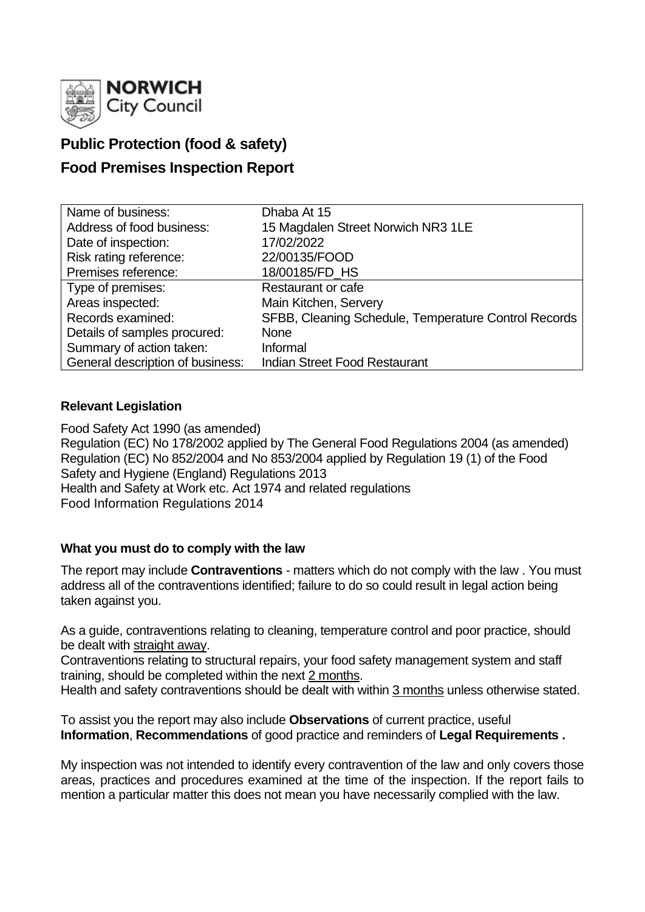

# **Public Protection (food & safety)**

# **Food Premises Inspection Report**

| Name of business:                | Dhaba At 15                                          |
|----------------------------------|------------------------------------------------------|
| Address of food business:        | 15 Magdalen Street Norwich NR3 1LE                   |
| Date of inspection:              | 17/02/2022                                           |
| Risk rating reference:           | 22/00135/FOOD                                        |
| Premises reference:              | 18/00185/FD HS                                       |
| Type of premises:                | <b>Restaurant or cafe</b>                            |
| Areas inspected:                 | Main Kitchen, Servery                                |
| Records examined:                | SFBB, Cleaning Schedule, Temperature Control Records |
| Details of samples procured:     | <b>None</b>                                          |
| Summary of action taken:         | Informal                                             |
| General description of business: | <b>Indian Street Food Restaurant</b>                 |

# **Relevant Legislation**

Food Safety Act 1990 (as amended) Regulation (EC) No 178/2002 applied by The General Food Regulations 2004 (as amended) Regulation (EC) No 852/2004 and No 853/2004 applied by Regulation 19 (1) of the Food Safety and Hygiene (England) Regulations 2013 Health and Safety at Work etc. Act 1974 and related regulations Food Information Regulations 2014

## **What you must do to comply with the law**

The report may include **Contraventions** - matters which do not comply with the law . You must address all of the contraventions identified; failure to do so could result in legal action being taken against you.

As a guide, contraventions relating to cleaning, temperature control and poor practice, should be dealt with straight away.

Contraventions relating to structural repairs, your food safety management system and staff training, should be completed within the next 2 months.

Health and safety contraventions should be dealt with within 3 months unless otherwise stated.

To assist you the report may also include **Observations** of current practice, useful **Information**, **Recommendations** of good practice and reminders of **Legal Requirements .**

My inspection was not intended to identify every contravention of the law and only covers those areas, practices and procedures examined at the time of the inspection. If the report fails to mention a particular matter this does not mean you have necessarily complied with the law.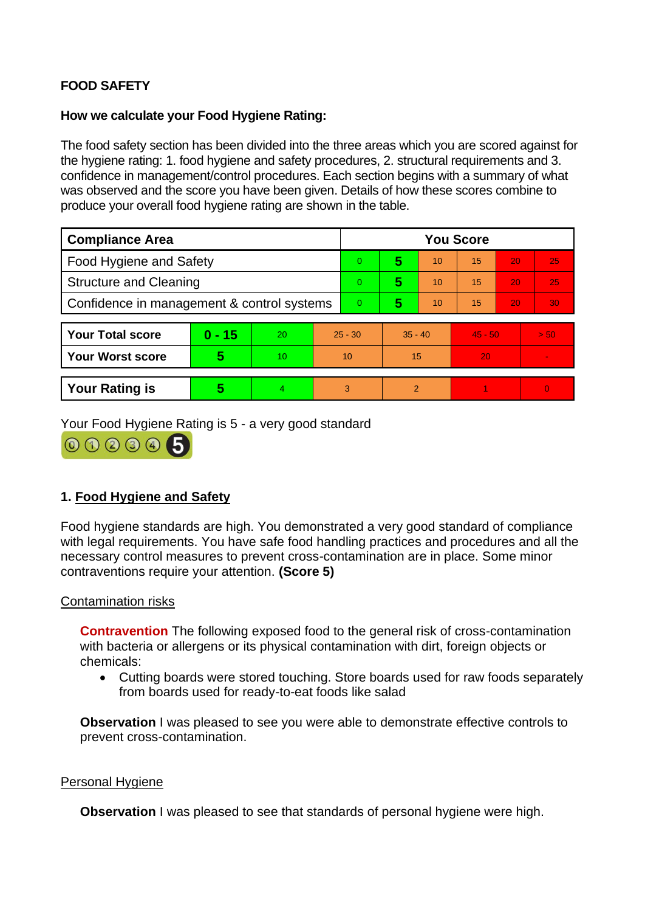# **FOOD SAFETY**

## **How we calculate your Food Hygiene Rating:**

The food safety section has been divided into the three areas which you are scored against for the hygiene rating: 1. food hygiene and safety procedures, 2. structural requirements and 3. confidence in management/control procedures. Each section begins with a summary of what was observed and the score you have been given. Details of how these scores combine to produce your overall food hygiene rating are shown in the table.

| <b>Compliance Area</b>                     |          |    |           | <b>You Score</b> |           |    |           |    |          |  |  |
|--------------------------------------------|----------|----|-----------|------------------|-----------|----|-----------|----|----------|--|--|
| Food Hygiene and Safety                    |          |    |           | 0                | 5         | 10 | 15        | 20 | 25       |  |  |
| <b>Structure and Cleaning</b>              |          |    | 0         | 5                | 10        | 15 | 20        | 25 |          |  |  |
| Confidence in management & control systems |          |    |           | 0                | 5         | 10 | 15        | 20 | 30       |  |  |
|                                            |          |    |           |                  |           |    |           |    |          |  |  |
| <b>Your Total score</b>                    | $0 - 15$ | 20 | $25 - 30$ |                  | $35 - 40$ |    | $45 - 50$ |    | > 50     |  |  |
| <b>Your Worst score</b>                    | 5        | 10 | 10        |                  | 15        |    | 20        |    |          |  |  |
|                                            |          |    |           |                  |           |    |           |    |          |  |  |
| <b>Your Rating is</b>                      | 5        | 4  |           | 3                | 2         |    |           |    | $\Omega$ |  |  |

Your Food Hygiene Rating is 5 - a very good standard



# **1. Food Hygiene and Safety**

Food hygiene standards are high. You demonstrated a very good standard of compliance with legal requirements. You have safe food handling practices and procedures and all the necessary control measures to prevent cross-contamination are in place. Some minor contraventions require your attention. **(Score 5)**

## Contamination risks

**Contravention** The following exposed food to the general risk of cross-contamination with bacteria or allergens or its physical contamination with dirt, foreign objects or chemicals:

• Cutting boards were stored touching. Store boards used for raw foods separately from boards used for ready-to-eat foods like salad

**Observation** I was pleased to see you were able to demonstrate effective controls to prevent cross-contamination.

## Personal Hygiene

**Observation** I was pleased to see that standards of personal hygiene were high.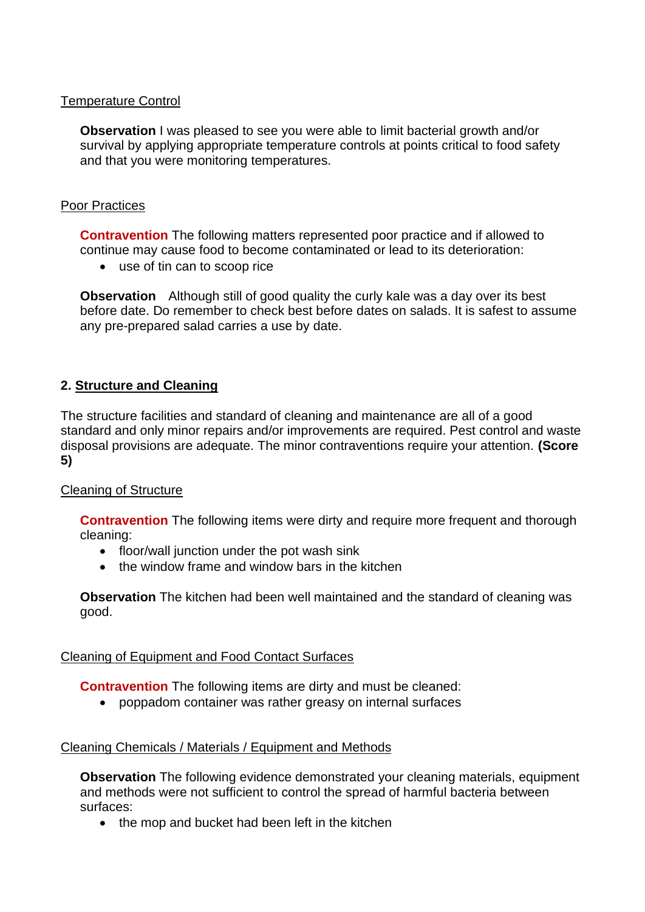# Temperature Control

**Observation** I was pleased to see you were able to limit bacterial growth and/or survival by applying appropriate temperature controls at points critical to food safety and that you were monitoring temperatures.

# Poor Practices

**Contravention** The following matters represented poor practice and if allowed to continue may cause food to become contaminated or lead to its deterioration:

• use of tin can to scoop rice

**Observation** Although still of good quality the curly kale was a day over its best before date. Do remember to check best before dates on salads. It is safest to assume any pre-prepared salad carries a use by date.

# **2. Structure and Cleaning**

The structure facilities and standard of cleaning and maintenance are all of a good standard and only minor repairs and/or improvements are required. Pest control and waste disposal provisions are adequate. The minor contraventions require your attention. **(Score 5)**

# Cleaning of Structure

**Contravention** The following items were dirty and require more frequent and thorough cleaning:

- floor/wall junction under the pot wash sink
- the window frame and window bars in the kitchen

**Observation** The kitchen had been well maintained and the standard of cleaning was good.

## Cleaning of Equipment and Food Contact Surfaces

**Contravention** The following items are dirty and must be cleaned:

• poppadom container was rather greasy on internal surfaces

## Cleaning Chemicals / Materials / Equipment and Methods

**Observation** The following evidence demonstrated your cleaning materials, equipment and methods were not sufficient to control the spread of harmful bacteria between surfaces:

• the mop and bucket had been left in the kitchen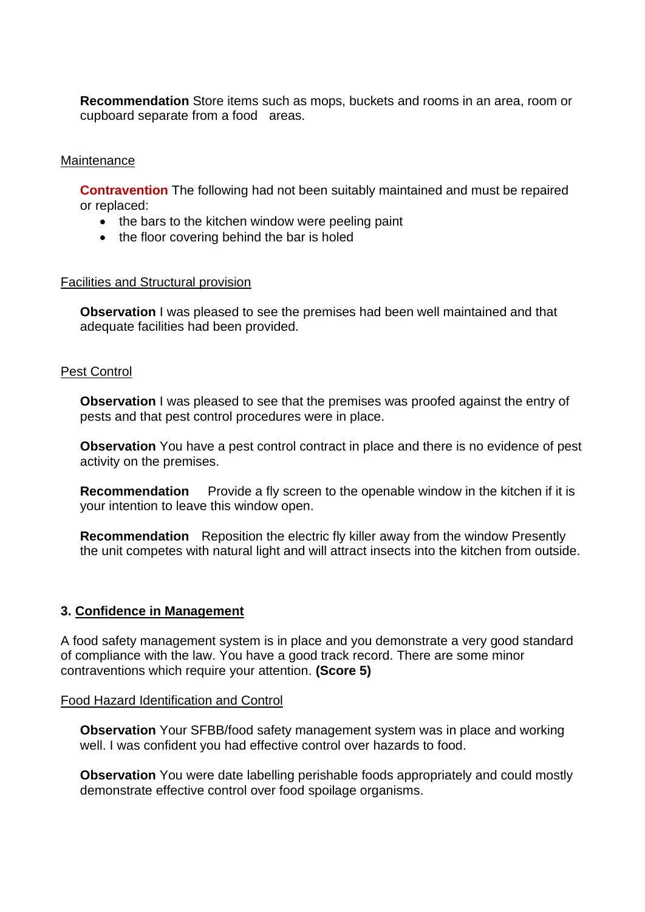**Recommendation** Store items such as mops, buckets and rooms in an area, room or cupboard separate from a food areas.

#### **Maintenance**

**Contravention** The following had not been suitably maintained and must be repaired or replaced:

- the bars to the kitchen window were peeling paint
- the floor covering behind the bar is holed

#### Facilities and Structural provision

**Observation** I was pleased to see the premises had been well maintained and that adequate facilities had been provided.

#### Pest Control

**Observation** I was pleased to see that the premises was proofed against the entry of pests and that pest control procedures were in place.

**Observation** You have a pest control contract in place and there is no evidence of pest activity on the premises.

**Recommendation** Provide a fly screen to the openable window in the kitchen if it is your intention to leave this window open.

**Recommendation** Reposition the electric fly killer away from the window Presently the unit competes with natural light and will attract insects into the kitchen from outside.

#### **3. Confidence in Management**

A food safety management system is in place and you demonstrate a very good standard of compliance with the law. You have a good track record. There are some minor contraventions which require your attention. **(Score 5)**

#### Food Hazard Identification and Control

**Observation** Your SFBB/food safety management system was in place and working well. I was confident you had effective control over hazards to food.

**Observation** You were date labelling perishable foods appropriately and could mostly demonstrate effective control over food spoilage organisms.